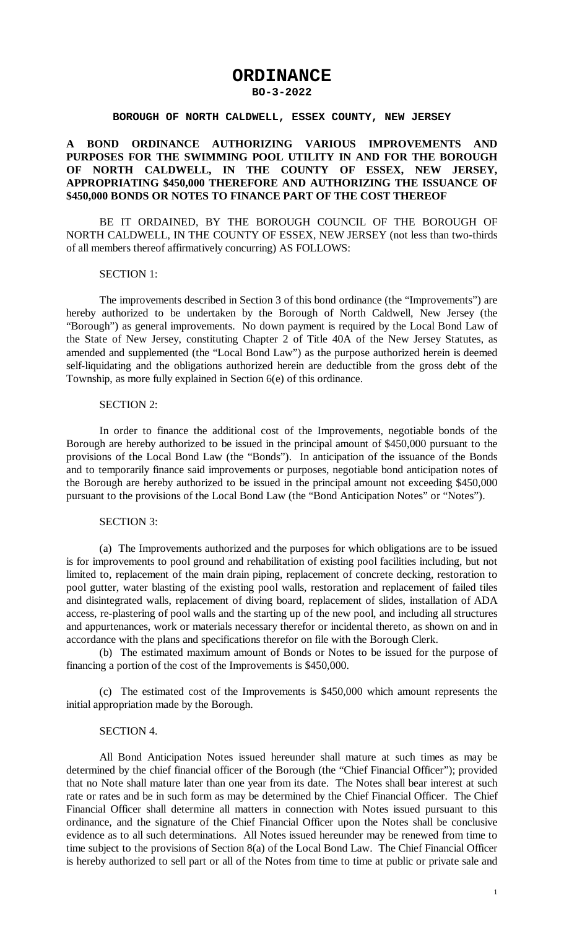# **ORDINANCE**

#### **BO-3-2022**

#### **BOROUGH OF NORTH CALDWELL, ESSEX COUNTY, NEW JERSEY**

# **A BOND ORDINANCE AUTHORIZING VARIOUS IMPROVEMENTS AND PURPOSES FOR THE SWIMMING POOL UTILITY IN AND FOR THE BOROUGH OF NORTH CALDWELL, IN THE COUNTY OF ESSEX, NEW JERSEY, APPROPRIATING \$450,000 THEREFORE AND AUTHORIZING THE ISSUANCE OF \$450,000 BONDS OR NOTES TO FINANCE PART OF THE COST THEREOF**

BE IT ORDAINED, BY THE BOROUGH COUNCIL OF THE BOROUGH OF NORTH CALDWELL, IN THE COUNTY OF ESSEX, NEW JERSEY (not less than two-thirds of all members thereof affirmatively concurring) AS FOLLOWS:

## SECTION 1:

The improvements described in Section 3 of this bond ordinance (the "Improvements") are hereby authorized to be undertaken by the Borough of North Caldwell, New Jersey (the "Borough") as general improvements. No down payment is required by the Local Bond Law of the State of New Jersey, constituting Chapter 2 of Title 40A of the New Jersey Statutes, as amended and supplemented (the "Local Bond Law") as the purpose authorized herein is deemed self-liquidating and the obligations authorized herein are deductible from the gross debt of the Township, as more fully explained in Section 6(e) of this ordinance.

## SECTION 2:

In order to finance the additional cost of the Improvements, negotiable bonds of the Borough are hereby authorized to be issued in the principal amount of \$450,000 pursuant to the provisions of the Local Bond Law (the "Bonds"). In anticipation of the issuance of the Bonds and to temporarily finance said improvements or purposes, negotiable bond anticipation notes of the Borough are hereby authorized to be issued in the principal amount not exceeding \$450,000 pursuant to the provisions of the Local Bond Law (the "Bond Anticipation Notes" or "Notes").

## SECTION 3:

(a) The Improvements authorized and the purposes for which obligations are to be issued is for improvements to pool ground and rehabilitation of existing pool facilities including, but not limited to, replacement of the main drain piping, replacement of concrete decking, restoration to pool gutter, water blasting of the existing pool walls, restoration and replacement of failed tiles and disintegrated walls, replacement of diving board, replacement of slides, installation of ADA access, re-plastering of pool walls and the starting up of the new pool, and including all structures and appurtenances, work or materials necessary therefor or incidental thereto, as shown on and in accordance with the plans and specifications therefor on file with the Borough Clerk.

(b) The estimated maximum amount of Bonds or Notes to be issued for the purpose of financing a portion of the cost of the Improvements is \$450,000.

(c) The estimated cost of the Improvements is \$450,000 which amount represents the initial appropriation made by the Borough.

## SECTION 4.

All Bond Anticipation Notes issued hereunder shall mature at such times as may be determined by the chief financial officer of the Borough (the "Chief Financial Officer"); provided that no Note shall mature later than one year from its date. The Notes shall bear interest at such rate or rates and be in such form as may be determined by the Chief Financial Officer. The Chief Financial Officer shall determine all matters in connection with Notes issued pursuant to this ordinance, and the signature of the Chief Financial Officer upon the Notes shall be conclusive evidence as to all such determinations. All Notes issued hereunder may be renewed from time to time subject to the provisions of Section 8(a) of the Local Bond Law. The Chief Financial Officer is hereby authorized to sell part or all of the Notes from time to time at public or private sale and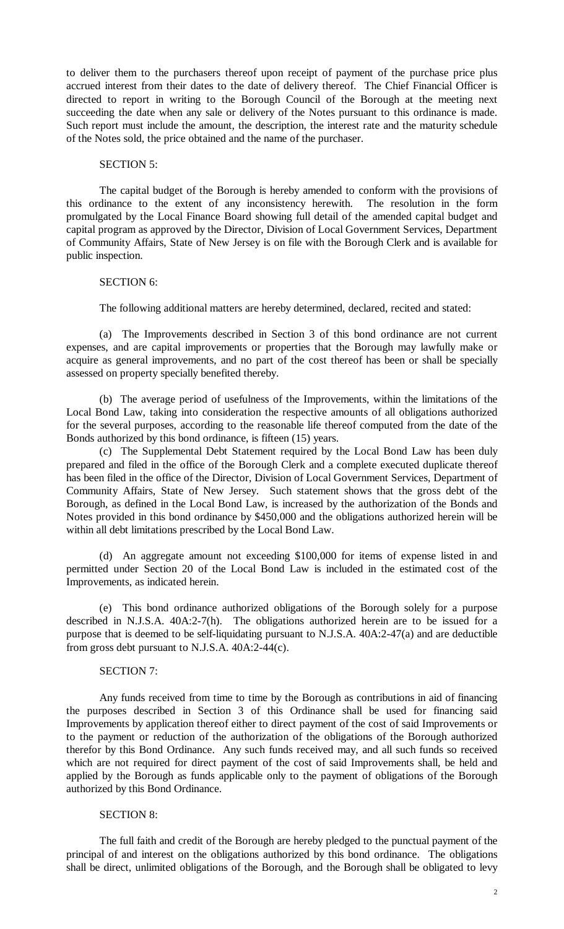to deliver them to the purchasers thereof upon receipt of payment of the purchase price plus accrued interest from their dates to the date of delivery thereof. The Chief Financial Officer is directed to report in writing to the Borough Council of the Borough at the meeting next succeeding the date when any sale or delivery of the Notes pursuant to this ordinance is made. Such report must include the amount, the description, the interest rate and the maturity schedule of the Notes sold, the price obtained and the name of the purchaser.

## SECTION 5:

The capital budget of the Borough is hereby amended to conform with the provisions of this ordinance to the extent of any inconsistency herewith. The resolution in the form promulgated by the Local Finance Board showing full detail of the amended capital budget and capital program as approved by the Director, Division of Local Government Services, Department of Community Affairs, State of New Jersey is on file with the Borough Clerk and is available for public inspection.

## SECTION 6:

The following additional matters are hereby determined, declared, recited and stated:

(a) The Improvements described in Section 3 of this bond ordinance are not current expenses, and are capital improvements or properties that the Borough may lawfully make or acquire as general improvements, and no part of the cost thereof has been or shall be specially assessed on property specially benefited thereby.

(b) The average period of usefulness of the Improvements, within the limitations of the Local Bond Law, taking into consideration the respective amounts of all obligations authorized for the several purposes, according to the reasonable life thereof computed from the date of the Bonds authorized by this bond ordinance, is fifteen (15) years.

(c) The Supplemental Debt Statement required by the Local Bond Law has been duly prepared and filed in the office of the Borough Clerk and a complete executed duplicate thereof has been filed in the office of the Director, Division of Local Government Services, Department of Community Affairs, State of New Jersey. Such statement shows that the gross debt of the Borough, as defined in the Local Bond Law, is increased by the authorization of the Bonds and Notes provided in this bond ordinance by \$450,000 and the obligations authorized herein will be within all debt limitations prescribed by the Local Bond Law.

(d) An aggregate amount not exceeding \$100,000 for items of expense listed in and permitted under Section 20 of the Local Bond Law is included in the estimated cost of the Improvements, as indicated herein.

(e) This bond ordinance authorized obligations of the Borough solely for a purpose described in N.J.S.A. 40A:2-7(h). The obligations authorized herein are to be issued for a purpose that is deemed to be self-liquidating pursuant to N.J.S.A. 40A:2-47(a) and are deductible from gross debt pursuant to N.J.S.A. 40A:2-44(c).

## SECTION 7:

Any funds received from time to time by the Borough as contributions in aid of financing the purposes described in Section 3 of this Ordinance shall be used for financing said Improvements by application thereof either to direct payment of the cost of said Improvements or to the payment or reduction of the authorization of the obligations of the Borough authorized therefor by this Bond Ordinance. Any such funds received may, and all such funds so received which are not required for direct payment of the cost of said Improvements shall, be held and applied by the Borough as funds applicable only to the payment of obligations of the Borough authorized by this Bond Ordinance.

# SECTION 8:

The full faith and credit of the Borough are hereby pledged to the punctual payment of the principal of and interest on the obligations authorized by this bond ordinance. The obligations shall be direct, unlimited obligations of the Borough, and the Borough shall be obligated to levy